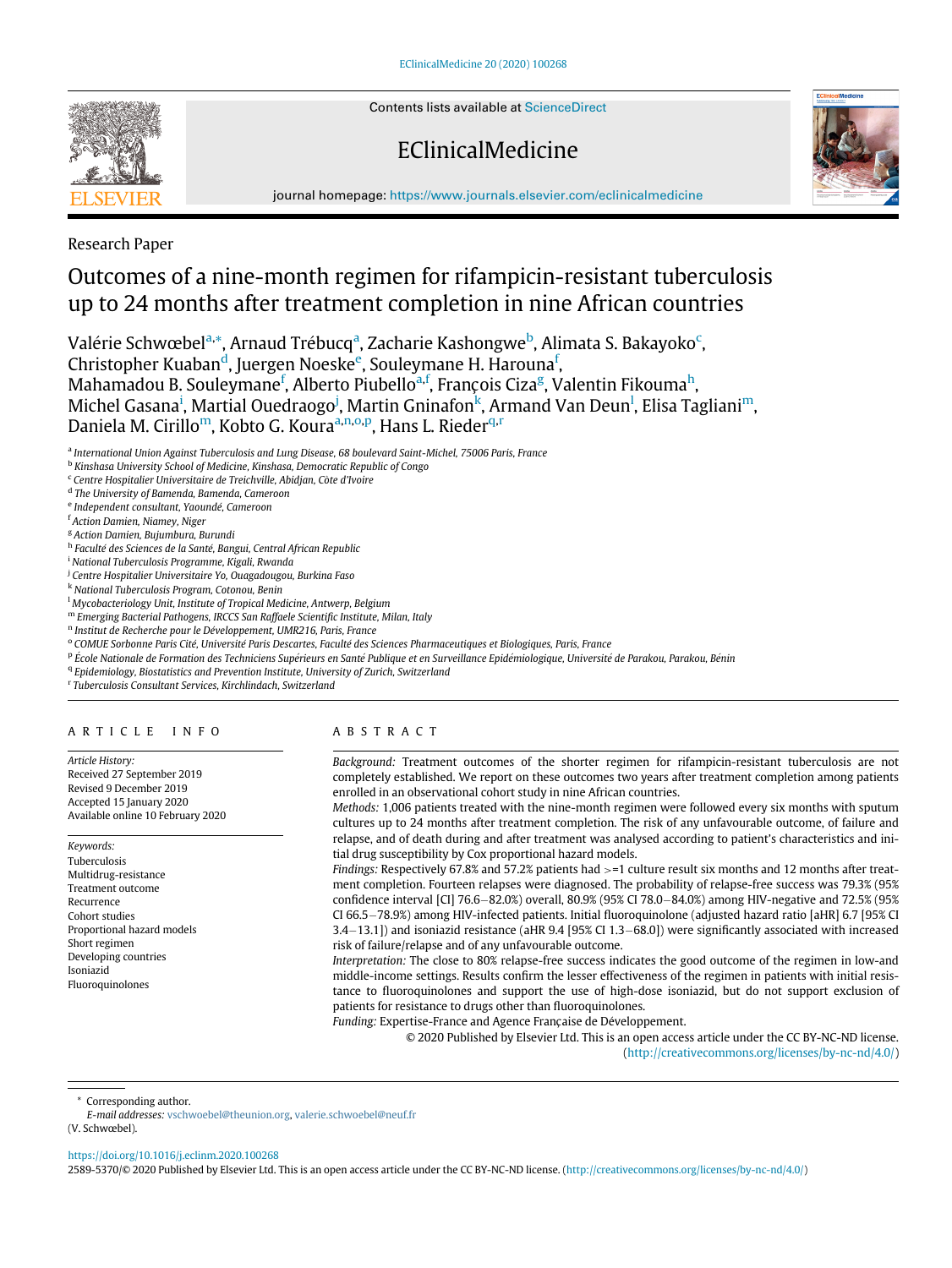Contents lists available at [ScienceDirect](http://www.ScienceDirect.com)

# EClinicalMedicine



journal homepage: [https://www.journals.elsevier.com/eclinicalmedicine](http://https://www.journals.elsevier.com/eclinicalmedicine)

Research Paper

# Outcomes of a nine-month regimen for rifampicin-resistant tuberculosis up to 24 months after treatment completion in nine African countries

Valérie Schwœbel<sup>[a,](#page-0-0)</sup>[\\*](#page-0-1), Arn[a](#page-0-0)ud Tré[b](#page-0-2)u[c](#page-0-3)q<sup>a</sup>, Zacharie Kashongwe<sup>b</sup>, Alimata S. Bakayoko<sup>c</sup>, Christopher Kuaban<sup>[d](#page-0-4)</sup>, Ju[e](#page-0-5)rgen Noeske<sup>e</sup>, Souleymane H. Harouna<sup>[f](#page-0-6)</sup>, Mahamadou B. Souleymane<sup>[f](#page-0-6)</sup>, Alberto Piubello<sup>[a](#page-0-0)[,f](#page-0-6)</sup>, François Ciza<sup>[g](#page-0-7)</sup>, Valentin Fikouma<sup>[h](#page-0-8)</sup>, M[i](#page-0-9)chel Gasana<sup>i</sup>, Martial Ouedraogo<sup>[j](#page-0-10)</sup>, Martin Gninafon<sup>[k](#page-0-11)</sup>, Armand Van Deun<sup>[l](#page-0-12)</sup>, Elisa Tagliani<sup>m</sup>, Daniela M. Cirillo<sup>[m](#page-0-13)</sup>, Kobto G. Koura<sup>a[,n,](#page-0-14)[o](#page-0-15)[,p](#page-0-16)</sup>, Hans L. Rieder<sup>[q](#page-0-17)[,r](#page-0-18)</sup>

<span id="page-0-0"></span>a International Union Against Tuberculosis and Lung Disease, 68 boulevard Saint-Michel, 75006 Paris, France

<span id="page-0-3"></span> $c$  Centre Hospitalier Universitaire de Treichville, Abidjan, Côte d'Ivoire

<span id="page-0-5"></span><span id="page-0-4"></span><sup>d</sup> The University of Bamenda, Bamenda, Cameroon

e Independent consultant, Yaoundé, Cameroon

<span id="page-0-6"></span><sup>f</sup> Action Damien, Niamey, Niger

<span id="page-0-7"></span><sup>g</sup> Action Damien, Bujumbura, Burundi

<span id="page-0-8"></span>h Faculté des Sciences de la Santé, Bangui, Central African Republic

<span id="page-0-9"></span><sup>i</sup> National Tuberculosis Programme, Kigali, Rwanda

<span id="page-0-10"></span><sup>i</sup> Centre Hospitalier Universitaire Yo, Ouagadougou, Burkina Faso

<span id="page-0-11"></span><sup>k</sup> National Tuberculosis Program, Cotonou, Benin

<span id="page-0-12"></span> $^{\rm l}$  Mycobacteriology Unit, Institute of Tropical Medicine, Antwerp, Belgium

<span id="page-0-13"></span><sup>m</sup> Emerging Bacterial Pathogens, IRCCS San Raffaele Scientific Institute, Milan, Italy

<span id="page-0-14"></span><sup>n</sup> Institut de Recherche pour le Developpement, UMR216, Paris, France

<span id="page-0-15"></span><sup>o</sup> COMUE Sorbonne Paris Cité, Université Paris Descartes, Faculté des Sciences Pharmaceutiques et Biologiques, Paris, France

<span id="page-0-16"></span><sup>p</sup> École Nationale de Formation des Techniciens Supérieurs en Santé Publique et en Surveillance Epidémiologique, Université de Parakou, Parakou, Bénin

<span id="page-0-17"></span><sup>q</sup> Epidemiology, Biostatistics and Prevention Institute, University of Zurich, Switzerland

<span id="page-0-18"></span><sup>r</sup> Tuberculosis Consultant Services, Kirchlindach, Switzerland

## ARTICLE INFO

Article History: Received 27 September 2019 Revised 9 December 2019 Accepted 15 January 2020 Available online 10 February 2020

Keywords: Tuberculosis Multidrug-resistance Treatment outcome Recurrence Cohort studies Proportional hazard models Short regimen Developing countries Isoniazid Fluoroquinolones

# ABSTRACT

Background: Treatment outcomes of the shorter regimen for rifampicin-resistant tuberculosis are not completely established. We report on these outcomes two years after treatment completion among patients enrolled in an observational cohort study in nine African countries.

Methods: 1,006 patients treated with the nine-month regimen were followed every six months with sputum cultures up to 24 months after treatment completion. The risk of any unfavourable outcome, of failure and relapse, and of death during and after treatment was analysed according to patient's characteristics and initial drug susceptibility by Cox proportional hazard models.

Findings: Respectively 67.8% and 57.2% patients had  $> =1$  culture result six months and 12 months after treatment completion. Fourteen relapses were diagnosed. The probability of relapse-free success was 79.3% (95% confidence interval [CI] 76.6-82.0%) overall, 80.9% (95% CI 78.0-84.0%) among HIV-negative and 72.5% (95% CI 66.5-78.9%) among HIV-infected patients. Initial fluoroquinolone (adjusted hazard ratio [aHR] 6.7 [95% CI  $3.4-13.1$ ]) and isoniazid resistance (aHR 9.4 [95% CI 1.3–68.0]) were significantly associated with increased risk of failure/relapse and of any unfavourable outcome.

Interpretation: The close to 80% relapse-free success indicates the good outcome of the regimen in low-and middle-income settings. Results confirm the lesser effectiveness of the regimen in patients with initial resistance to fluoroquinolones and support the use of high-dose isoniazid, but do not support exclusion of patients for resistance to drugs other than fluoroquinolones.

Funding: Expertise-France and Agence Française de Développement.

© 2020 Published by Elsevier Ltd. This is an open access article under the CC BY-NC-ND license. ([http://creativecommons.org/licenses/by-nc-nd/4.0/\)](http://creativecommons.org/licenses/by-nc-nd/4.0/)

Corresponding author.

<span id="page-0-1"></span>E-mail addresses: [vschwoebel@theunion.org](mailto:vschwoebel@theunion.org), [valerie.schwoebel@neuf.fr](mailto:valerie.schwoebel@neuf.fr) (V. Schwœbel).

<https://doi.org/10.1016/j.eclinm.2020.100268>

2589-5370/© 2020 Published by Elsevier Ltd. This is an open access article under the CC BY-NC-ND license. (<http://creativecommons.org/licenses/by-nc-nd/4.0/>)

<span id="page-0-2"></span><sup>b</sup> Kinshasa University School of Medicine, Kinshasa, Democratic Republic of Congo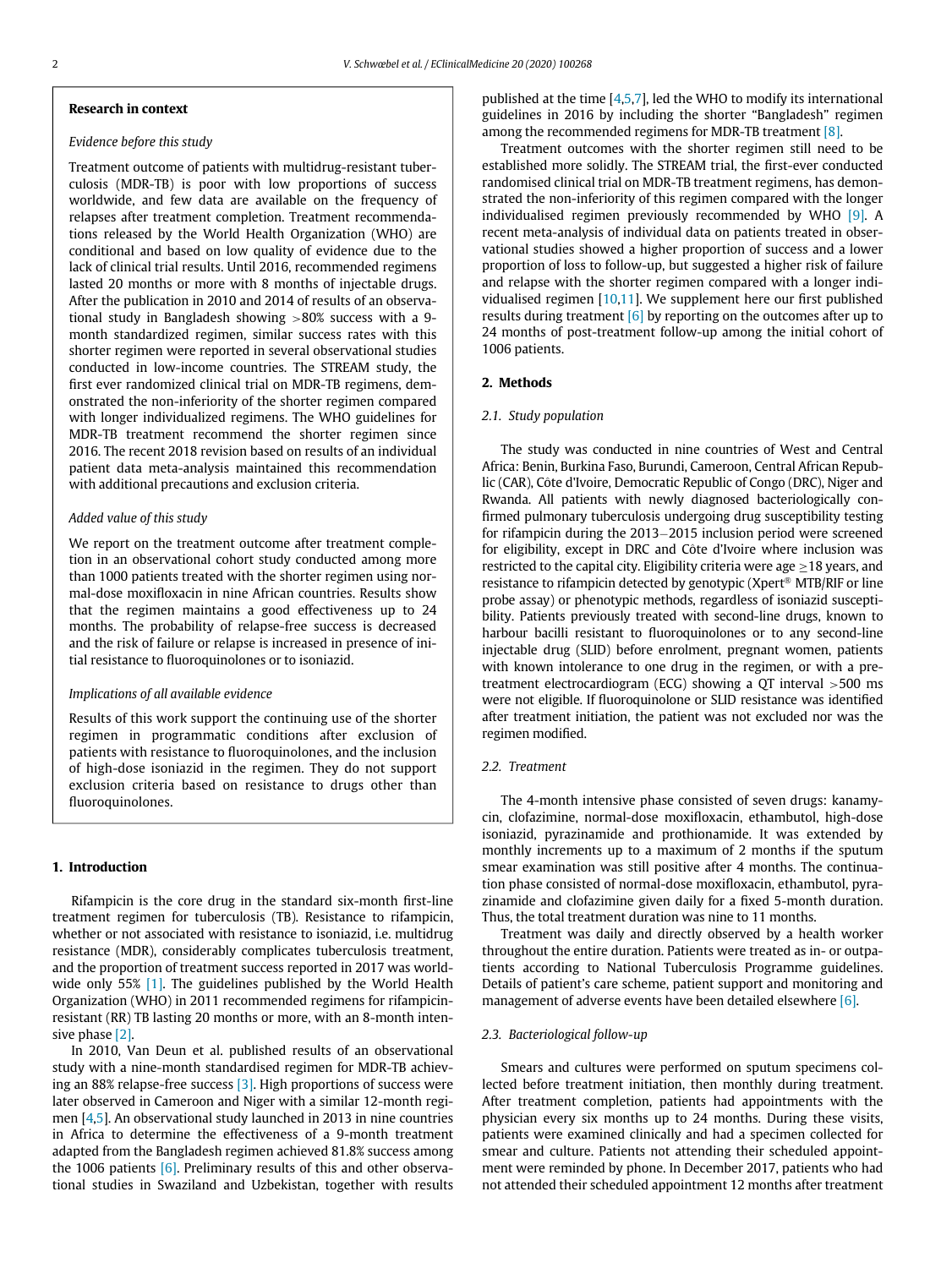#### Research in context

## Evidence before this study

Treatment outcome of patients with multidrug-resistant tuberculosis (MDR-TB) is poor with low proportions of success worldwide, and few data are available on the frequency of relapses after treatment completion. Treatment recommendations released by the World Health Organization (WHO) are conditional and based on low quality of evidence due to the lack of clinical trial results. Until 2016, recommended regimens lasted 20 months or more with 8 months of injectable drugs. After the publication in 2010 and 2014 of results of an observational study in Bangladesh showing >80% success with a 9 month standardized regimen, similar success rates with this shorter regimen were reported in several observational studies conducted in low-income countries. The STREAM study, the first ever randomized clinical trial on MDR-TB regimens, demonstrated the non-inferiority of the shorter regimen compared with longer individualized regimens. The WHO guidelines for MDR-TB treatment recommend the shorter regimen since 2016. The recent 2018 revision based on results of an individual patient data meta-analysis maintained this recommendation with additional precautions and exclusion criteria.

#### Added value of this study

We report on the treatment outcome after treatment completion in an observational cohort study conducted among more than 1000 patients treated with the shorter regimen using normal-dose moxifloxacin in nine African countries. Results show that the regimen maintains a good effectiveness up to 24 months. The probability of relapse-free success is decreased and the risk of failure or relapse is increased in presence of initial resistance to fluoroquinolones or to isoniazid.

## Implications of all available evidence

Results of this work support the continuing use of the shorter regimen in programmatic conditions after exclusion of patients with resistance to fluoroquinolones, and the inclusion of high-dose isoniazid in the regimen. They do not support exclusion criteria based on resistance to drugs other than fluoroquinolones.

### 1. Introduction

Rifampicin is the core drug in the standard six-month first-line treatment regimen for tuberculosis (TB). Resistance to rifampicin, whether or not associated with resistance to isoniazid, i.e. multidrug resistance (MDR), considerably complicates tuberculosis treatment, and the proportion of treatment success reported in 2017 was world-wide only 55% [\[1\].](#page-7-0) The guidelines published by the World Health Organization (WHO) in 2011 recommended regimens for rifampicinresistant (RR) TB lasting 20 months or more, with an 8-month intensive phase [\[2\]](#page-7-1).

In 2010, Van Deun et al. published results of an observational study with a nine-month standardised regimen for MDR-TB achieving an 88% relapse-free success [\[3\].](#page-7-2) High proportions of success were later observed in Cameroon and Niger with a similar 12-month regimen [[4](#page-7-3)[,5\]](#page-7-4). An observational study launched in 2013 in nine countries in Africa to determine the effectiveness of a 9-month treatment adapted from the Bangladesh regimen achieved 81.8% success among the 1006 patients [\[6\].](#page-7-5) Preliminary results of this and other observational studies in Swaziland and Uzbekistan, together with results published at the time [\[4,](#page-7-3)[5](#page-7-4),[7\]](#page-7-6), led the WHO to modify its international guidelines in 2016 by including the shorter "Bangladesh" regimen among the recommended regimens for MDR-TB treatment [\[8\].](#page-7-7)

Treatment outcomes with the shorter regimen still need to be established more solidly. The STREAM trial, the first-ever conducted randomised clinical trial on MDR-TB treatment regimens, has demonstrated the non-inferiority of this regimen compared with the longer individualised regimen previously recommended by WHO [\[9\]](#page-7-8). A recent meta-analysis of individual data on patients treated in observational studies showed a higher proportion of success and a lower proportion of loss to follow-up, but suggested a higher risk of failure and relapse with the shorter regimen compared with a longer individualised regimen [\[10](#page-7-9)[,11](#page-7-10)]. We supplement here our first published results during treatment  $[6]$  by reporting on the outcomes after up to 24 months of post-treatment follow-up among the initial cohort of 1006 patients.

## 2. Methods

#### 2.1. Study population

The study was conducted in nine countries of West and Central Africa: Benin, Burkina Faso, Burundi, Cameroon, Central African Republic (CAR), Côte d'Ivoire, Democratic Republic of Congo (DRC), Niger and Rwanda. All patients with newly diagnosed bacteriologically confirmed pulmonary tuberculosis undergoing drug susceptibility testing for rifampicin during the 2013–2015 inclusion period were screened for eligibility, except in DRC and Côte d'Ivoire where inclusion was restricted to the capital city. Eligibility criteria were age  $\geq$  18 years, and resistance to rifampicin detected by genotypic (Xpert® MTB/RIF or line probe assay) or phenotypic methods, regardless of isoniazid susceptibility. Patients previously treated with second-line drugs, known to harbour bacilli resistant to fluoroquinolones or to any second-line injectable drug (SLID) before enrolment, pregnant women, patients with known intolerance to one drug in the regimen, or with a pretreatment electrocardiogram (ECG) showing a QT interval >500 ms were not eligible. If fluoroquinolone or SLID resistance was identified after treatment initiation, the patient was not excluded nor was the regimen modified.

#### 2.2. Treatment

The 4-month intensive phase consisted of seven drugs: kanamycin, clofazimine, normal-dose moxifloxacin, ethambutol, high-dose isoniazid, pyrazinamide and prothionamide. It was extended by monthly increments up to a maximum of 2 months if the sputum smear examination was still positive after 4 months. The continuation phase consisted of normal-dose moxifloxacin, ethambutol, pyrazinamide and clofazimine given daily for a fixed 5-month duration. Thus, the total treatment duration was nine to 11 months.

Treatment was daily and directly observed by a health worker throughout the entire duration. Patients were treated as in- or outpatients according to National Tuberculosis Programme guidelines. Details of patient's care scheme, patient support and monitoring and management of adverse events have been detailed elsewhere [\[6\].](#page-7-5)

## 2.3. Bacteriological follow-up

Smears and cultures were performed on sputum specimens collected before treatment initiation, then monthly during treatment. After treatment completion, patients had appointments with the physician every six months up to 24 months. During these visits, patients were examined clinically and had a specimen collected for smear and culture. Patients not attending their scheduled appointment were reminded by phone. In December 2017, patients who had not attended their scheduled appointment 12 months after treatment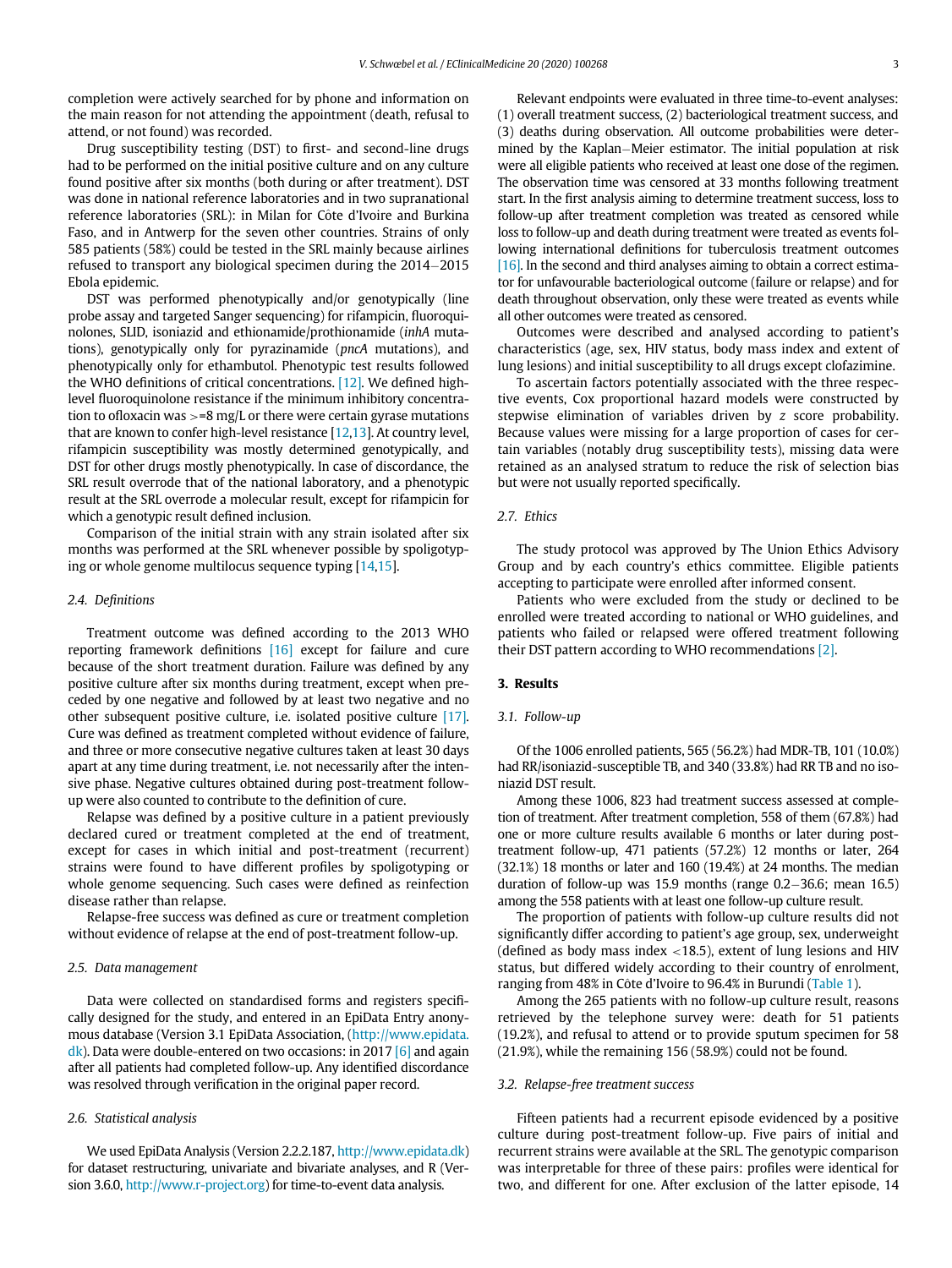completion were actively searched for by phone and information on the main reason for not attending the appointment (death, refusal to attend, or not found) was recorded.

Drug susceptibility testing (DST) to first- and second-line drugs had to be performed on the initial positive culture and on any culture found positive after six months (both during or after treatment). DST was done in national reference laboratories and in two supranational reference laboratories (SRL): in Milan for Côte d'Ivoire and Burkina Faso, and in Antwerp for the seven other countries. Strains of only 585 patients (58%) could be tested in the SRL mainly because airlines refused to transport any biological specimen during the  $2014-2015$ Ebola epidemic.

DST was performed phenotypically and/or genotypically (line probe assay and targeted Sanger sequencing) for rifampicin, fluoroquinolones, SLID, isoniazid and ethionamide/prothionamide (inhA mutations), genotypically only for pyrazinamide (pncA mutations), and phenotypically only for ethambutol. Phenotypic test results followed the WHO definitions of critical concentrations. [\[12\]](#page-7-11). We defined highlevel fluoroquinolone resistance if the minimum inhibitory concentration to ofloxacin was  $>=8 \text{ mg/L}$  or there were certain gyrase mutations that are known to confer high-level resistance [[12](#page-7-11)[,13](#page-7-12)]. At country level, rifampicin susceptibility was mostly determined genotypically, and DST for other drugs mostly phenotypically. In case of discordance, the SRL result overrode that of the national laboratory, and a phenotypic result at the SRL overrode a molecular result, except for rifampicin for which a genotypic result defined inclusion.

Comparison of the initial strain with any strain isolated after six months was performed at the SRL whenever possible by spoligotyping or whole genome multilocus sequence typing [\[14](#page-7-13)[,15](#page-7-14)].

#### 2.4. Definitions

Treatment outcome was defined according to the 2013 WHO reporting framework definitions [\[16\]](#page-7-15) except for failure and cure because of the short treatment duration. Failure was defined by any positive culture after six months during treatment, except when preceded by one negative and followed by at least two negative and no other subsequent positive culture, i.e. isolated positive culture [\[17\].](#page-7-16) Cure was defined as treatment completed without evidence of failure, and three or more consecutive negative cultures taken at least 30 days apart at any time during treatment, i.e. not necessarily after the intensive phase. Negative cultures obtained during post-treatment followup were also counted to contribute to the definition of cure.

Relapse was defined by a positive culture in a patient previously declared cured or treatment completed at the end of treatment, except for cases in which initial and post-treatment (recurrent) strains were found to have different profiles by spoligotyping or whole genome sequencing. Such cases were defined as reinfection disease rather than relapse.

Relapse-free success was defined as cure or treatment completion without evidence of relapse at the end of post-treatment follow-up.

## 2.5. Data management

Data were collected on standardised forms and registers specifically designed for the study, and entered in an EpiData Entry anonymous database (Version 3.1 EpiData Association, [\(http://www.epidata.](http://www.epidata.dk) [dk](http://www.epidata.dk)). Data were double-entered on two occasions: in 2017 [\[6\]](#page-7-5) and again after all patients had completed follow-up. Any identified discordance was resolved through verification in the original paper record.

#### 2.6. Statistical analysis

We used EpiData Analysis (Version 2.2.2.187, [http://www.epidata.dk\)](http://www.epidata.dk) for dataset restructuring, univariate and bivariate analyses, and R (Version 3.6.0, [http://www.r-project.org\)](http://www.r-project.org) for time-to-event data analysis.

Relevant endpoints were evaluated in three time-to-event analyses: (1) overall treatment success, (2) bacteriological treatment success, and (3) deaths during observation. All outcome probabilities were determined by the Kaplan–Meier estimator. The initial population at risk were all eligible patients who received at least one dose of the regimen. The observation time was censored at 33 months following treatment start. In the first analysis aiming to determine treatment success, loss to follow-up after treatment completion was treated as censored while loss to follow-up and death during treatment were treated as events following international definitions for tuberculosis treatment outcomes  $[16]$ . In the second and third analyses aiming to obtain a correct estimator for unfavourable bacteriological outcome (failure or relapse) and for death throughout observation, only these were treated as events while all other outcomes were treated as censored.

Outcomes were described and analysed according to patient's characteristics (age, sex, HIV status, body mass index and extent of lung lesions) and initial susceptibility to all drugs except clofazimine.

To ascertain factors potentially associated with the three respective events, Cox proportional hazard models were constructed by stepwise elimination of variables driven by z score probability. Because values were missing for a large proportion of cases for certain variables (notably drug susceptibility tests), missing data were retained as an analysed stratum to reduce the risk of selection bias but were not usually reported specifically.

## 2.7. Ethics

The study protocol was approved by The Union Ethics Advisory Group and by each country's ethics committee. Eligible patients accepting to participate were enrolled after informed consent.

Patients who were excluded from the study or declined to be enrolled were treated according to national or WHO guidelines, and patients who failed or relapsed were offered treatment following their DST pattern according to WHO recommendations [\[2\]](#page-7-1).

## 3. Results

## 3.1. Follow-up

Of the 1006 enrolled patients, 565 (56.2%) had MDR-TB, 101 (10.0%) had RR/isoniazid-susceptible TB, and 340 (33.8%) had RR TB and no isoniazid DST result.

Among these 1006, 823 had treatment success assessed at completion of treatment. After treatment completion, 558 of them (67.8%) had one or more culture results available 6 months or later during posttreatment follow-up, 471 patients (57.2%) 12 months or later, 264 (32.1%) 18 months or later and 160 (19.4%) at 24 months. The median duration of follow-up was 15.9 months (range  $0.2-36.6$ ; mean  $16.5$ ) among the 558 patients with at least one follow-up culture result.

The proportion of patients with follow-up culture results did not significantly differ according to patient's age group, sex, underweight (defined as body mass index <18.5), extent of lung lesions and HIV status, but differed widely according to their country of enrolment, ranging from 48% in Côte d'Ivoire to 96.4% in Burundi [\(Table 1](#page-3-0)).

Among the 265 patients with no follow-up culture result, reasons retrieved by the telephone survey were: death for 51 patients (19.2%), and refusal to attend or to provide sputum specimen for 58 (21.9%), while the remaining 156 (58.9%) could not be found.

#### 3.2. Relapse-free treatment success

Fifteen patients had a recurrent episode evidenced by a positive culture during post-treatment follow-up. Five pairs of initial and recurrent strains were available at the SRL. The genotypic comparison was interpretable for three of these pairs: profiles were identical for two, and different for one. After exclusion of the latter episode, 14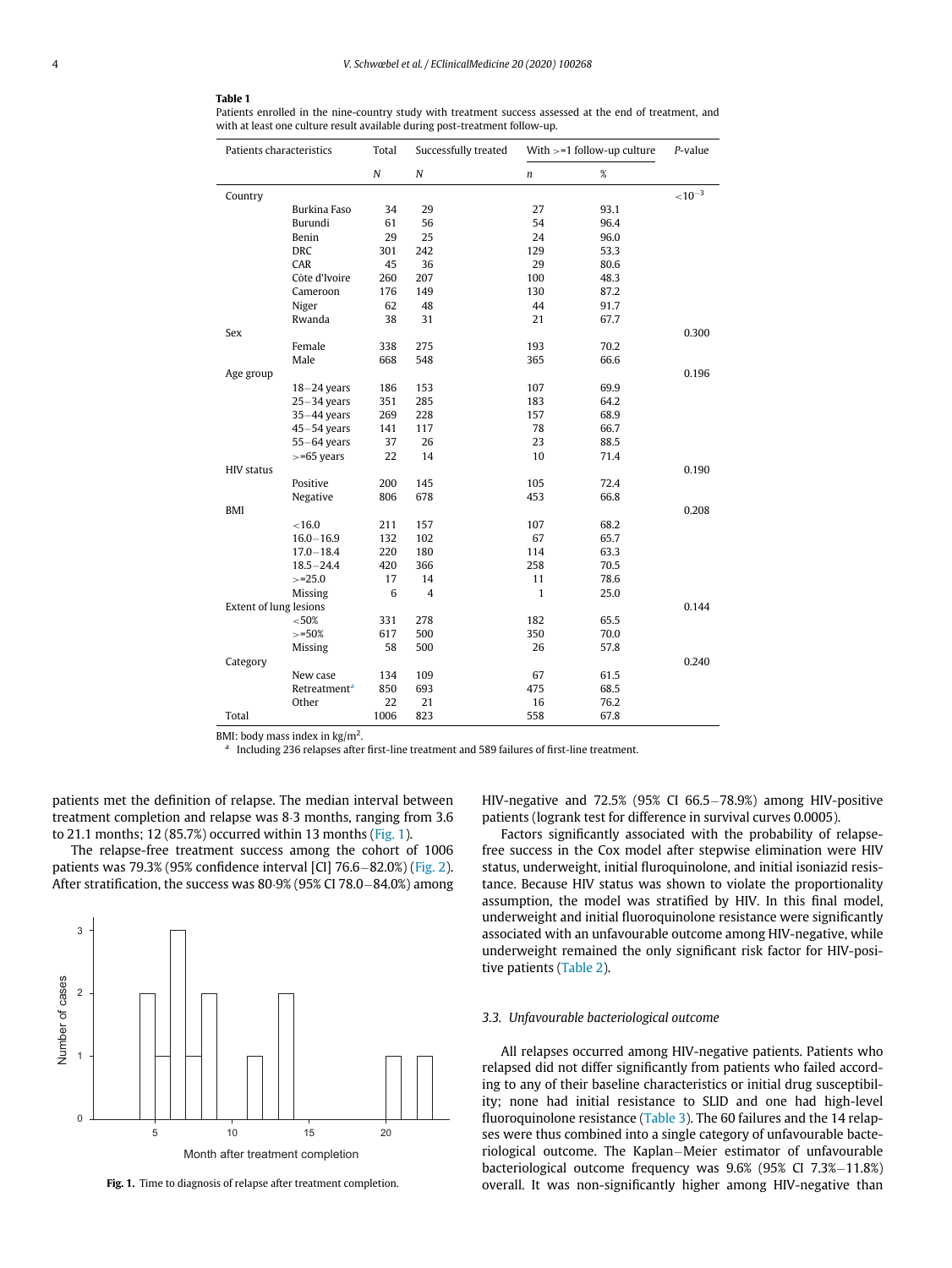## <span id="page-3-0"></span>Table 1

Patients enrolled in the nine-country study with treatment success assessed at the end of treatment, and with at least one culture result available during post-treatment follow-up.

| Patients characteristics      |                          | Total            | Successfully treated | With $>=1$ follow-up culture |      | P-value      |
|-------------------------------|--------------------------|------------------|----------------------|------------------------------|------|--------------|
|                               |                          | $\boldsymbol{N}$ | $\boldsymbol{N}$     | n                            | $\%$ |              |
| Country                       |                          |                  |                      |                              |      | ${<}10^{-3}$ |
|                               | <b>Burkina Faso</b>      | 34               | 29                   | 27                           | 93.1 |              |
|                               | Burundi                  | 61               | 56                   | 54                           | 96.4 |              |
|                               | Benin                    | 29               | 25                   | 24                           | 96.0 |              |
|                               | <b>DRC</b>               | 301              | 242                  | 129                          | 53.3 |              |
|                               | CAR                      | 45               | 36                   | 29                           | 80.6 |              |
|                               | Côte d'Ivoire            | 260              | 207                  | 100                          | 48.3 |              |
|                               | Cameroon                 | 176              | 149                  | 130                          | 87.2 |              |
|                               | Niger                    | 62               | 48                   | 44                           | 91.7 |              |
|                               | Rwanda                   | 38               | 31                   | 21                           | 67.7 |              |
| Sex                           |                          |                  |                      |                              |      | 0.300        |
|                               | Female                   | 338              | 275                  | 193                          | 70.2 |              |
|                               | Male                     | 668              | 548                  | 365                          | 66.6 |              |
| Age group                     |                          |                  |                      |                              |      | 0.196        |
|                               | $18 - 24$ years          | 186              | 153                  | 107                          | 69.9 |              |
|                               | $25 - 34$ years          | 351              | 285                  | 183                          | 64.2 |              |
|                               | $35 - 44$ years          | 269              | 228                  | 157                          | 68.9 |              |
|                               | $45 - 54$ years          | 141              | 117                  | 78                           | 66.7 |              |
|                               | $55-64$ years            | 37               | 26                   | 23                           | 88.5 |              |
|                               | $> = 65$ years           | 22               | 14                   | 10                           | 71.4 |              |
| <b>HIV</b> status             |                          |                  |                      |                              |      | 0.190        |
|                               | Positive                 | 200              | 145                  | 105                          | 72.4 |              |
|                               | Negative                 | 806              | 678                  | 453                          | 66.8 |              |
| BMI                           |                          |                  |                      |                              |      | 0.208        |
|                               | < 16.0                   | 211              | 157                  | 107                          | 68.2 |              |
|                               | $16.0 - 16.9$            | 132              | 102                  | 67                           | 65.7 |              |
|                               | $17.0 - 18.4$            | 220              | 180                  | 114                          | 63.3 |              |
|                               | $18.5 - 24.4$            | 420              | 366                  | 258                          | 70.5 |              |
|                               | $>=25.0$                 | 17               | 14                   | 11                           | 78.6 |              |
|                               | Missing                  | 6                | 4                    | $\mathbf{1}$                 | 25.0 |              |
| <b>Extent of lung lesions</b> |                          |                  |                      |                              |      | 0.144        |
|                               | $< 50\%$                 | 331              | 278                  | 182                          | 65.5 |              |
|                               | $> = 50%$                | 617              | 500                  | 350                          | 70.0 |              |
|                               | Missing                  | 58               | 500                  | 26                           | 57.8 |              |
| Category                      |                          |                  |                      |                              |      | 0.240        |
|                               | New case                 | 134              | 109                  | 67                           | 61.5 |              |
|                               | Retreatment <sup>a</sup> | 850              | 693                  | 475                          | 68.5 |              |
|                               | Other                    | 22               | 21                   | 16                           | 76.2 |              |
| Total                         |                          | 1006             | 823                  | 558                          | 67.8 |              |

BMI: body mass index in  $\text{kg/m}^2$ .

a Including 236 relapses after first-line treatment and 589 failures of first-line treatment.

<span id="page-3-2"></span>patients met the definition of relapse. The median interval between treatment completion and relapse was 8.3 months, ranging from 3.6 to 21.1 months; 12 (85.7%) occurred within 13 months ([Fig. 1\)](#page-3-1).

The relapse-free treatment success among the cohort of 1006 patients was  $79.3\%$  (95% confidence interval [CI]  $76.6-82.0\%$ ) ([Fig. 2](#page-4-0)). After stratification, the success was  $80.9\%$  (95% CI 78.0–84.0%) among

<span id="page-3-1"></span>

Fig. 1. Time to diagnosis of relapse after treatment completion.

HIV-negative and  $72.5\%$  (95% CI 66.5-78.9%) among HIV-positive patients (logrank test for difference in survival curves 0.0005).

Factors significantly associated with the probability of relapsefree success in the Cox model after stepwise elimination were HIV status, underweight, initial fluroquinolone, and initial isoniazid resistance. Because HIV status was shown to violate the proportionality assumption, the model was stratified by HIV. In this final model, underweight and initial fluoroquinolone resistance were significantly associated with an unfavourable outcome among HIV-negative, while underweight remained the only significant risk factor for HIV-positive patients [\(Table 2\)](#page-4-1).

## 3.3. Unfavourable bacteriological outcome

All relapses occurred among HIV-negative patients. Patients who relapsed did not differ significantly from patients who failed according to any of their baseline characteristics or initial drug susceptibility; none had initial resistance to SLID and one had high-level fluoroquinolone resistance [\(Table 3](#page-5-0)). The 60 failures and the 14 relapses were thus combined into a single category of unfavourable bacteriological outcome. The Kaplan-Meier estimator of unfavourable bacteriological outcome frequency was 9.6% (95% CI 7.3%-11.8%) overall. It was non-significantly higher among HIV-negative than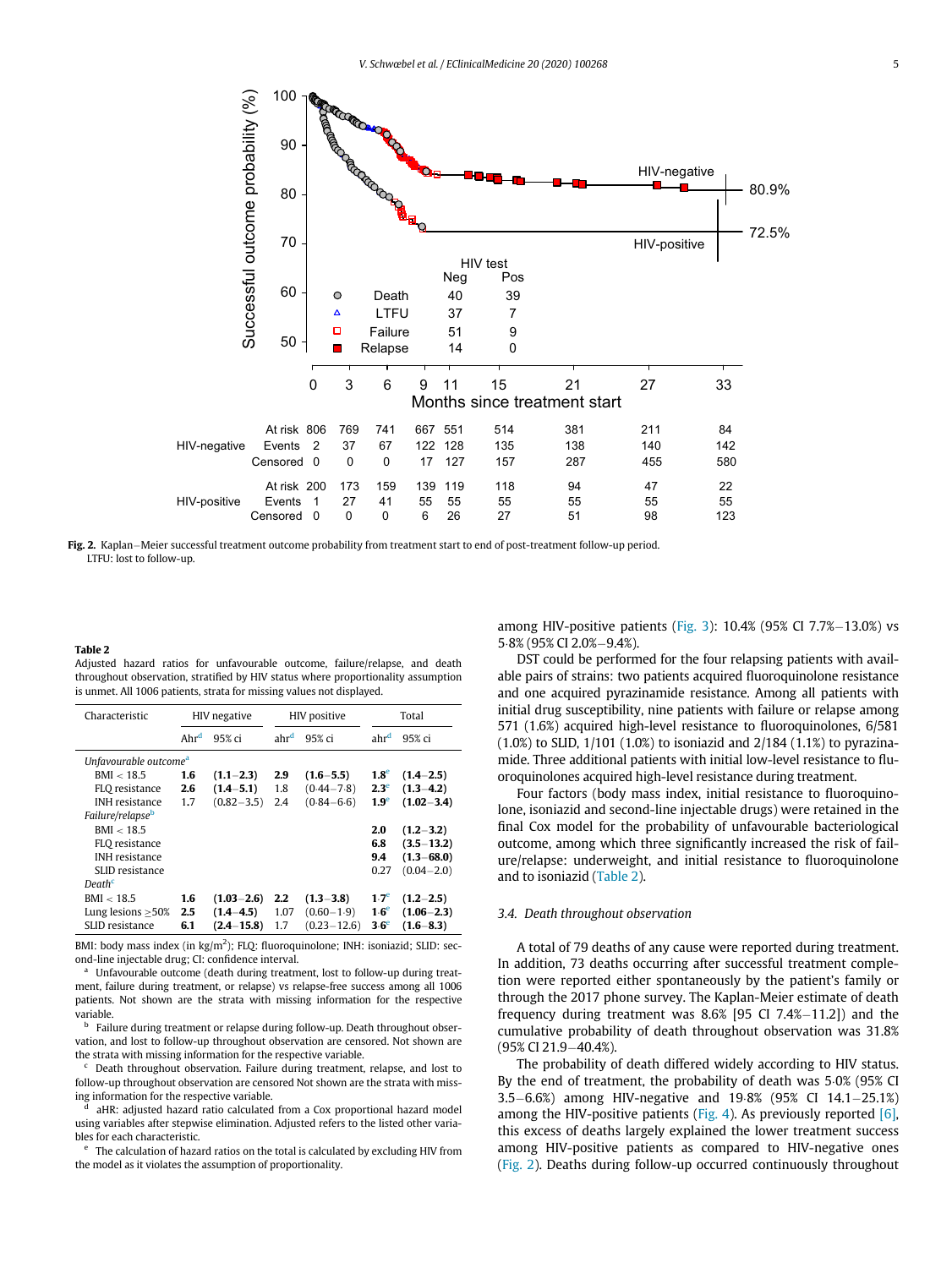<span id="page-4-0"></span>

Fig. 2. Kaplan-Meier successful treatment outcome probability from treatment start to end of post-treatment follow-up period. LTFU: lost to follow-up.

#### <span id="page-4-1"></span>Table 2

Adjusted hazard ratios for unfavourable outcome, failure/relapse, and death throughout observation, stratified by HIV status where proportionality assumption is unmet. All 1006 patients, strata for missing values not displayed.

| Characteristic                    | HIV negative     |                | <b>HIV</b> positive |                 | Total            |                |
|-----------------------------------|------------------|----------------|---------------------|-----------------|------------------|----------------|
|                                   | Ahr <sup>d</sup> | 95% ci         | ahr <sup>d</sup>    | 95% ci          | ahr <sup>d</sup> | 95% ci         |
| Unfavourable outcome <sup>a</sup> |                  |                |                     |                 |                  |                |
| BMI < 18.5                        | 1.6              | $(1.1 - 2.3)$  | 2.9                 | $(1.6 - 5.5)$   | 1.8 <sup>e</sup> | $(1.4 - 2.5)$  |
| FLO resistance                    | 2.6              | $(1.4 - 5.1)$  | 1.8                 | $(0.44 - 7.8)$  | 2.3 <sup>e</sup> | $(1.3 - 4.2)$  |
| <b>INH</b> resistance             | 1.7              | $(0.82 - 3.5)$ | 2.4                 | $(0.84 - 6.6)$  | 1.9 <sup>e</sup> | $(1.02 - 3.4)$ |
| Failure/relapse <sup>b</sup>      |                  |                |                     |                 |                  |                |
| BMI < 18.5                        |                  |                |                     |                 | 2.0              | $(1.2 - 3.2)$  |
| FLO resistance                    |                  |                |                     |                 | 6.8              | $(3.5 - 13.2)$ |
| <b>INH</b> resistance             |                  |                |                     |                 | 9.4              | $(1.3 - 68.0)$ |
| SLID resistance                   |                  |                |                     |                 | 0.27             | $(0.04 - 2.0)$ |
| Death <sup>c</sup>                |                  |                |                     |                 |                  |                |
| BMI < 18.5                        | 1.6              | $(1.03 - 2.6)$ | 2.2                 | $(1.3 - 3.8)$   | 1.7 <sup>e</sup> | $(1.2 - 2.5)$  |
| Lung lesions $>50\%$              | $2.5\,$          | $(1.4 - 4.5)$  | 1.07                | $(0.60 - 1.9)$  | 1.6 <sup>e</sup> | $(1.06 - 2.3)$ |
| SLID resistance                   | 6.1              | $(2.4 - 15.8)$ | 1.7                 | $(0.23 - 12.6)$ | $3.6^\circ$      | $(1.6 - 8.3)$  |

BMI: body mass index (in kg/m<sup>2</sup>); FLQ: fluoroquinolone; INH: isoniazid; SLID: second-line injectable drug; CI: confidence interval.

<span id="page-4-3"></span>Unfavourable outcome (death during treatment, lost to follow-up during treatment, failure during treatment, or relapse) vs relapse-free success among all 1006 patients. Not shown are the strata with missing information for the respective variable.

<span id="page-4-5"></span>Failure during treatment or relapse during follow-up. Death throughout observation, and lost to follow-up throughout observation are censored. Not shown are the strata with missing information for the respective variable.

<span id="page-4-6"></span>Death throughout observation. Failure during treatment, relapse, and lost to follow-up throughout observation are censored Not shown are the strata with missing information for the respective variable.

<span id="page-4-2"></span>aHR: adjusted hazard ratio calculated from a Cox proportional hazard model using variables after stepwise elimination. Adjusted refers to the listed other variables for each characteristic.

<span id="page-4-4"></span><sup>e</sup> The calculation of hazard ratios on the total is calculated by excluding HIV from the model as it violates the assumption of proportionality.

among HIV-positive patients ([Fig. 3\)](#page-5-1): 10.4% (95% CI 7.7%-13.0%) vs 5.8% (95% CI 2.0%-9.4%).

DST could be performed for the four relapsing patients with available pairs of strains: two patients acquired fluoroquinolone resistance and one acquired pyrazinamide resistance. Among all patients with initial drug susceptibility, nine patients with failure or relapse among 571 (1.6%) acquired high-level resistance to fluoroquinolones, 6/581 (1.0%) to SLID, 1/101 (1.0%) to isoniazid and 2/184 (1.1%) to pyrazinamide. Three additional patients with initial low-level resistance to fluoroquinolones acquired high-level resistance during treatment.

Four factors (body mass index, initial resistance to fluoroquinolone, isoniazid and second-line injectable drugs) were retained in the final Cox model for the probability of unfavourable bacteriological outcome, among which three significantly increased the risk of failure/relapse: underweight, and initial resistance to fluoroquinolone and to isoniazid ([Table 2\)](#page-4-1).

#### 3.4. Death throughout observation

A total of 79 deaths of any cause were reported during treatment. In addition, 73 deaths occurring after successful treatment completion were reported either spontaneously by the patient's family or through the 2017 phone survey. The Kaplan-Meier estimate of death frequency during treatment was 8.6% [95 CI 7.4%-11.2]) and the cumulative probability of death throughout observation was 31.8%  $(95\%$  CI 21.9-40.4%).

The probability of death differed widely according to HIV status. By the end of treatment, the probability of death was  $5.0\%$  (95% CI 3.5-6.6%) among HIV-negative and 19⋅8% (95% CI 14.1-25.1%) among the HIV-positive patients ([Fig. 4\)](#page-6-0). As previously reported  $[6]$ , this excess of deaths largely explained the lower treatment success among HIV-positive patients as compared to HIV-negative ones [\(Fig. 2](#page-4-0)). Deaths during follow-up occurred continuously throughout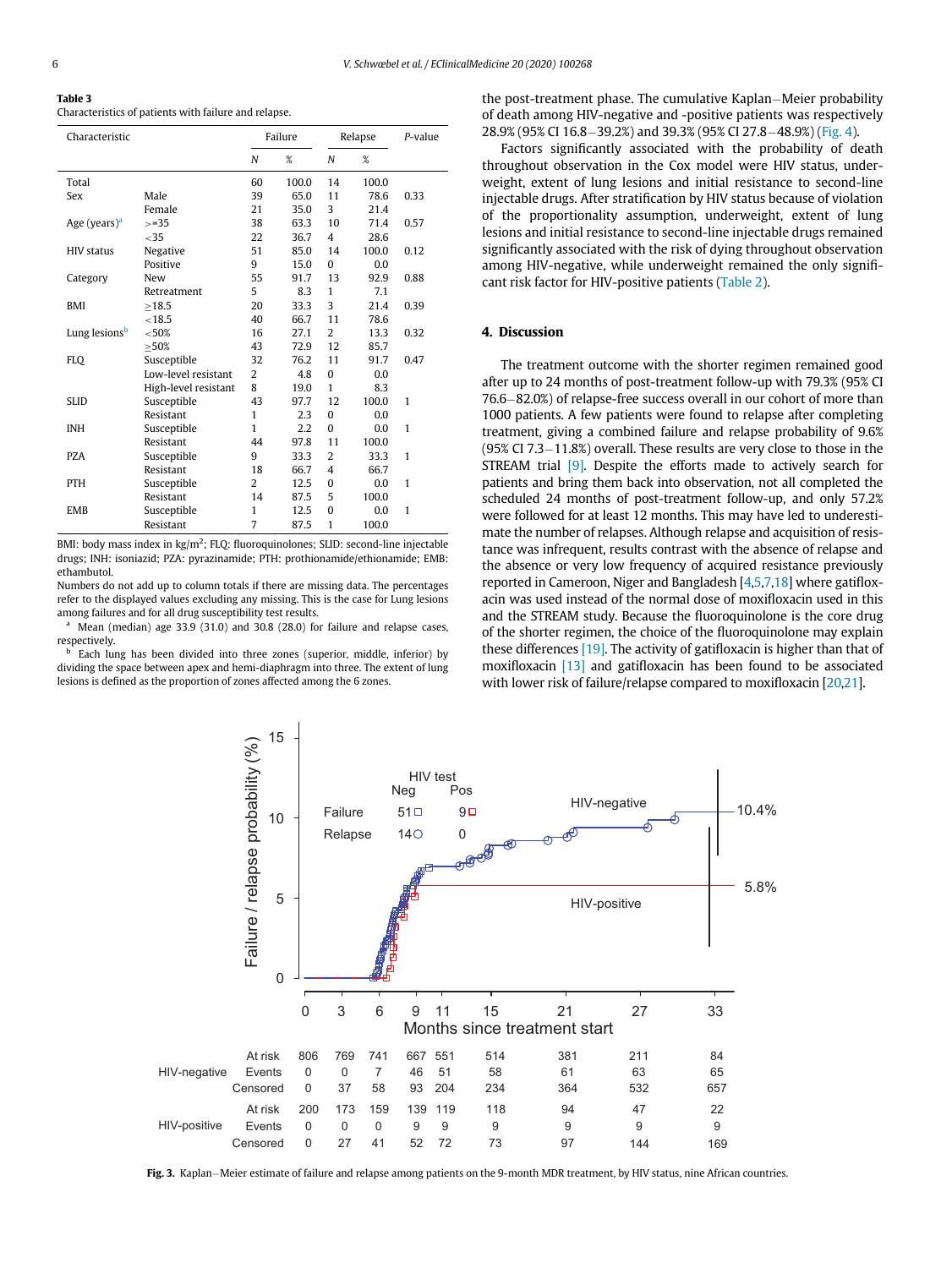<span id="page-5-0"></span>

| Table 3                                               |
|-------------------------------------------------------|
| Characteristics of patients with failure and relapse. |

| Characteristic            |                      |                | Failure |                | Relapse | P-value      |
|---------------------------|----------------------|----------------|---------|----------------|---------|--------------|
|                           |                      | N              | %       | N              | %       |              |
| Total                     |                      | 60             | 100.0   | 14             | 100.0   |              |
| Sex                       | Male                 | 39             | 65.0    | 11             | 78.6    | 0.33         |
|                           | Female               | 21             | 35.0    | 3              | 21.4    |              |
| Age (years) <sup>a</sup>  | $> = 35$             | 38             | 63.3    | 10             | 71.4    | 0.57         |
|                           | $35$                 | 22             | 36.7    | $\overline{4}$ | 28.6    |              |
| <b>HIV</b> status         | Negative             | 51             | 85.0    | 14             | 100.0   | 0.12         |
|                           | Positive             | 9              | 15.0    | $\Omega$       | 0.0     |              |
| Category                  | <b>New</b>           | 55             | 91.7    | 13             | 92.9    | 0.88         |
|                           | Retreatment          | 5              | 8.3     | 1              | 7.1     |              |
| <b>BMI</b>                | >18.5                | 20             | 33.3    | 3              | 21.4    | 0.39         |
|                           | < 18.5               | 40             | 66.7    | 11             | 78.6    |              |
| Lung lesions <sup>b</sup> | < 50%                | 16             | 27.1    | 2              | 13.3    | 0.32         |
|                           | >50%                 | 43             | 72.9    | 12             | 85.7    |              |
| FLO                       | Susceptible          | 32             | 76.2    | 11             | 91.7    | 0.47         |
|                           | Low-level resistant  | $\overline{2}$ | 4.8     | $\Omega$       | 0.0     |              |
|                           | High-level resistant | 8              | 19.0    | 1              | 8.3     |              |
| <b>SLID</b>               | Susceptible          | 43             | 97.7    | 12             | 100.0   | 1            |
|                           | Resistant            | 1              | 2.3     | $\Omega$       | 0.0     |              |
| <b>INH</b>                | Susceptible          | 1              | 2.2     | $\Omega$       | 0.0     | $\mathbf{1}$ |
|                           | Resistant            | 44             | 97.8    | 11             | 100.0   |              |
| PZA                       | Susceptible          | 9              | 33.3    | $\overline{2}$ | 33.3    | 1            |
|                           | Resistant            | 18             | 66.7    | 4              | 66.7    |              |
| <b>PTH</b>                | Susceptible          | $\overline{2}$ | 12.5    | $\theta$       | 0.0     | $\mathbf{1}$ |
|                           | Resistant            | 14             | 87.5    | 5              | 100.0   |              |
| <b>EMB</b>                | Susceptible          | 1              | 12.5    | $\Omega$       | 0.0     | 1            |
|                           | Resistant            | 7              | 87.5    | 1              | 100.0   |              |

BMI: body mass index in kg/m<sup>2</sup>; FLQ: fluoroquinolones; SLID: second-line injectable drugs; INH: isoniazid; PZA: pyrazinamide; PTH: prothionamide/ethionamide; EMB: ethambutol.

Numbers do not add up to column totals if there are missing data. The percentages refer to the displayed values excluding any missing. This is the case for Lung lesions among failures and for all drug susceptibility test results.

<span id="page-5-3"></span><span id="page-5-2"></span>Mean (median) age  $33.9$   $(31.0)$  and  $30.8$   $(28.0)$  for failure and relapse cases, respectively.

<span id="page-5-1"></span><sup>b</sup> Each lung has been divided into three zones (superior, middle, inferior) by dividing the space between apex and hemi-diaphragm into three. The extent of lung lesions is defined as the proportion of zones affected among the 6 zones.

the post-treatment phase. The cumulative Kaplan–Meier probability of death among HIV-negative and -positive patients was respectively 28.9% (95% CI 16.8-39.2%) and 39.3% (95% CI 27.8-48.9%) [\(Fig. 4](#page-6-0)).

Factors significantly associated with the probability of death throughout observation in the Cox model were HIV status, underweight, extent of lung lesions and initial resistance to second-line injectable drugs. After stratification by HIV status because of violation of the proportionality assumption, underweight, extent of lung lesions and initial resistance to second-line injectable drugs remained significantly associated with the risk of dying throughout observation among HIV-negative, while underweight remained the only significant risk factor for HIV-positive patients [\(Table 2](#page-4-1)).

# 4. Discussion

The treatment outcome with the shorter regimen remained good after up to 24 months of post-treatment follow-up with 79.3% (95% CI 76.6-82.0%) of relapse-free success overall in our cohort of more than 1000 patients. A few patients were found to relapse after completing treatment, giving a combined failure and relapse probability of 9.6% (95% CI 7.3 $-11.8%$ ) overall. These results are very close to those in the STREAM trial [\[9\]](#page-7-8). Despite the efforts made to actively search for patients and bring them back into observation, not all completed the scheduled 24 months of post-treatment follow-up, and only 57.2% were followed for at least 12 months. This may have led to underestimate the number of relapses. Although relapse and acquisition of resistance was infrequent, results contrast with the absence of relapse and the absence or very low frequency of acquired resistance previously reported in Cameroon, Niger and Bangladesh [[4](#page-7-3)[,5](#page-7-4)[,7](#page-7-6)[,18](#page-7-17)] where gatifloxacin was used instead of the normal dose of moxifloxacin used in this and the STREAM study. Because the fluoroquinolone is the core drug of the shorter regimen, the choice of the fluoroquinolone may explain these differences [\[19\]](#page-7-18). The activity of gatifloxacin is higher than that of moxifloxacin [\[13\]](#page-7-12) and gatifloxacin has been found to be associated with lower risk of failure/relapse compared to moxifloxacin [\[20](#page-7-19)[,21](#page-7-20)].



Fig. 3. Kaplan–Meier estimate of failure and relapse among patients on the 9-month MDR treatment, by HIV status, nine African countries.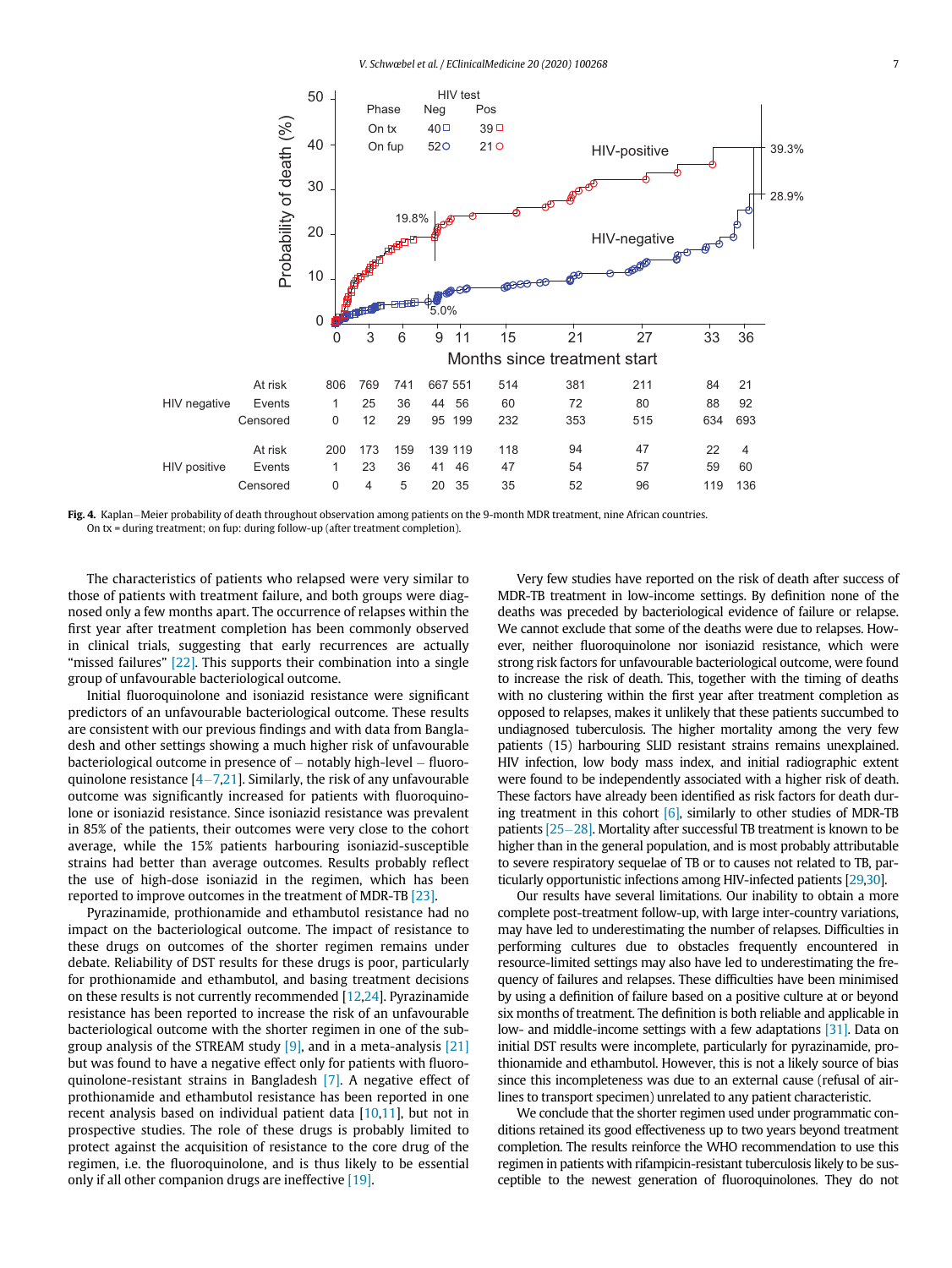<span id="page-6-0"></span>

Fig. 4. Kaplan–Meier probability of death throughout observation among patients on the 9-month MDR treatment, nine African countries. On tx = during treatment; on fup: during follow-up (after treatment completion).

The characteristics of patients who relapsed were very similar to those of patients with treatment failure, and both groups were diagnosed only a few months apart. The occurrence of relapses within the first year after treatment completion has been commonly observed in clinical trials, suggesting that early recurrences are actually "missed failures" [\[22\]](#page-7-21). This supports their combination into a single group of unfavourable bacteriological outcome.

Initial fluoroquinolone and isoniazid resistance were significant predictors of an unfavourable bacteriological outcome. These results are consistent with our previous findings and with data from Bangladesh and other settings showing a much higher risk of unfavourable bacteriological outcome in presence of  $-$  notably high-level  $-$  fluoroquinolone resistance  $[4-7,21]$  $[4-7,21]$  $[4-7,21]$  $[4-7,21]$  $[4-7,21]$ . Similarly, the risk of any unfavourable outcome was significantly increased for patients with fluoroquinolone or isoniazid resistance. Since isoniazid resistance was prevalent in 85% of the patients, their outcomes were very close to the cohort average, while the 15% patients harbouring isoniazid-susceptible strains had better than average outcomes. Results probably reflect the use of high-dose isoniazid in the regimen, which has been reported to improve outcomes in the treatment of MDR-TB [\[23\]](#page-7-22).

Pyrazinamide, prothionamide and ethambutol resistance had no impact on the bacteriological outcome. The impact of resistance to these drugs on outcomes of the shorter regimen remains under debate. Reliability of DST results for these drugs is poor, particularly for prothionamide and ethambutol, and basing treatment decisions on these results is not currently recommended [\[12](#page-7-11)[,24](#page-7-23)]. Pyrazinamide resistance has been reported to increase the risk of an unfavourable bacteriological outcome with the shorter regimen in one of the subgroup analysis of the STREAM study  $[9]$ , and in a meta-analysis  $[21]$ but was found to have a negative effect only for patients with fluoroquinolone-resistant strains in Bangladesh [\[7\].](#page-7-6) A negative effect of prothionamide and ethambutol resistance has been reported in one recent analysis based on individual patient data [[10,](#page-7-9)[11\]](#page-7-10), but not in prospective studies. The role of these drugs is probably limited to protect against the acquisition of resistance to the core drug of the regimen, i.e. the fluoroquinolone, and is thus likely to be essential only if all other companion drugs are ineffective [\[19\]](#page-7-18).

Very few studies have reported on the risk of death after success of MDR-TB treatment in low-income settings. By definition none of the deaths was preceded by bacteriological evidence of failure or relapse. We cannot exclude that some of the deaths were due to relapses. However, neither fluoroquinolone nor isoniazid resistance, which were strong risk factors for unfavourable bacteriological outcome, were found to increase the risk of death. This, together with the timing of deaths with no clustering within the first year after treatment completion as opposed to relapses, makes it unlikely that these patients succumbed to undiagnosed tuberculosis. The higher mortality among the very few patients (15) harbouring SLID resistant strains remains unexplained. HIV infection, low body mass index, and initial radiographic extent were found to be independently associated with a higher risk of death. These factors have already been identified as risk factors for death during treatment in this cohort [\[6\]](#page-7-5), similarly to other studies of MDR-TB patients  $[25-28]$  $[25-28]$ . Mortality after successful TB treatment is known to be higher than in the general population, and is most probably attributable to severe respiratory sequelae of TB or to causes not related to TB, particularly opportunistic infections among HIV-infected patients [[29](#page-7-25)[,30\]](#page-7-26).

Our results have several limitations. Our inability to obtain a more complete post-treatment follow-up, with large inter-country variations, may have led to underestimating the number of relapses. Difficulties in performing cultures due to obstacles frequently encountered in resource-limited settings may also have led to underestimating the frequency of failures and relapses. These difficulties have been minimised by using a definition of failure based on a positive culture at or beyond six months of treatment. The definition is both reliable and applicable in low- and middle-income settings with a few adaptations [\[31\]](#page-7-27). Data on initial DST results were incomplete, particularly for pyrazinamide, prothionamide and ethambutol. However, this is not a likely source of bias since this incompleteness was due to an external cause (refusal of airlines to transport specimen) unrelated to any patient characteristic.

We conclude that the shorter regimen used under programmatic conditions retained its good effectiveness up to two years beyond treatment completion. The results reinforce the WHO recommendation to use this regimen in patients with rifampicin-resistant tuberculosis likely to be susceptible to the newest generation of fluoroquinolones. They do not